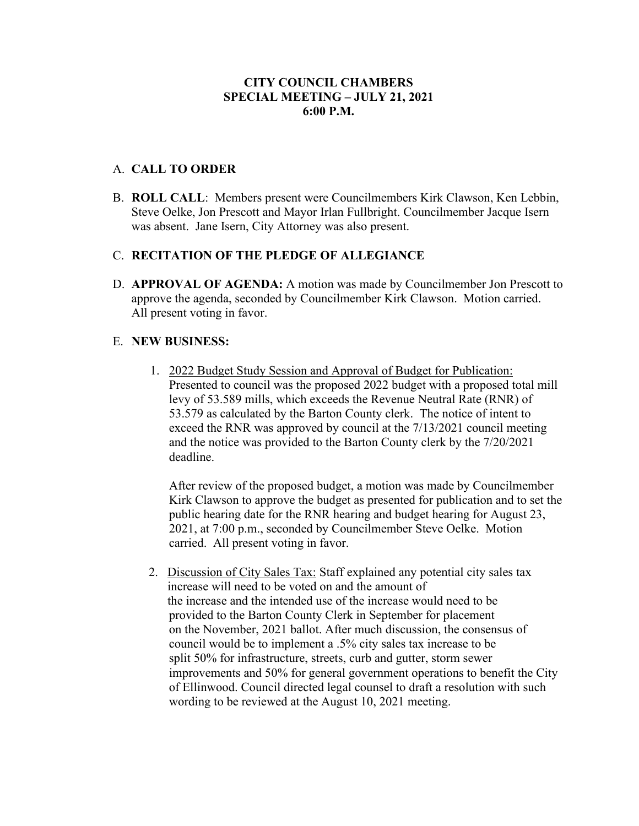# **CITY COUNCIL CHAMBERS SPECIAL MEETING – JULY 21, 2021 6:00 P.M.**

#### A. **CALL TO ORDER**

B. **ROLL CALL**: Members present were Councilmembers Kirk Clawson, Ken Lebbin, Steve Oelke, Jon Prescott and Mayor Irlan Fullbright. Councilmember Jacque Isern was absent. Jane Isern, City Attorney was also present.

## C. **RECITATION OF THE PLEDGE OF ALLEGIANCE**

D. **APPROVAL OF AGENDA:** A motion was made by Councilmember Jon Prescott to approve the agenda, seconded by Councilmember Kirk Clawson. Motion carried. All present voting in favor.

## E. **NEW BUSINESS:**

1. 2022 Budget Study Session and Approval of Budget for Publication: Presented to council was the proposed 2022 budget with a proposed total mill levy of 53.589 mills, which exceeds the Revenue Neutral Rate (RNR) of 53.579 as calculated by the Barton County clerk. The notice of intent to exceed the RNR was approved by council at the 7/13/2021 council meeting and the notice was provided to the Barton County clerk by the 7/20/2021 deadline.

After review of the proposed budget, a motion was made by Councilmember Kirk Clawson to approve the budget as presented for publication and to set the public hearing date for the RNR hearing and budget hearing for August 23, 2021, at 7:00 p.m., seconded by Councilmember Steve Oelke. Motion carried. All present voting in favor.

2. Discussion of City Sales Tax: Staff explained any potential city sales tax increase will need to be voted on and the amount of the increase and the intended use of the increase would need to be provided to the Barton County Clerk in September for placement on the November, 2021 ballot. After much discussion, the consensus of council would be to implement a .5% city sales tax increase to be split 50% for infrastructure, streets, curb and gutter, storm sewer improvements and 50% for general government operations to benefit the City of Ellinwood. Council directed legal counsel to draft a resolution with such wording to be reviewed at the August 10, 2021 meeting.